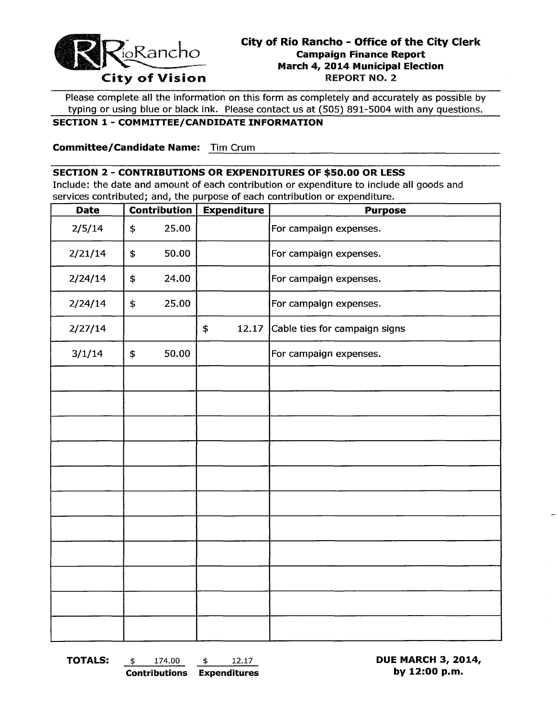

# **City of Rio Rancho - Office of the City Clerk**<br>
Campaign Finance Report<br>
City of Vision<br>
City of Vision<br>
City of Vision **March 4, 2014 Municipal Election**

----~-----------------------------------------

Please complete all the information on this form as completely and accurately as possible by typing or using blue or black ink. Please contact us at (505) 891-5004 with any questions.

#### **SECTION 1- COMMITTEE/CANDIDATE INFORMATION**

**Committee/Candidate Name:** Tim Crum

#### **SECTION 2 - CONTRIBUTIONS OR EXPENDITURES OF \$50.00 OR LESS**

Include: the date and amount of each contribution or expenditure to include all goods and services contributed; and, the purpose of each contribution or expenditure.

| <b>Date</b> | <b>Contribution</b> |       | <b>Expenditure</b> |       | <b>Purpose</b>                |  |  |
|-------------|---------------------|-------|--------------------|-------|-------------------------------|--|--|
| 2/5/14      | \$                  | 25.00 |                    |       | For campaign expenses.        |  |  |
| 2/21/14     | \$                  | 50.00 |                    |       | For campaign expenses.        |  |  |
| 2/24/14     | \$                  | 24.00 |                    |       | For campaign expenses.        |  |  |
| 2/24/14     | \$                  | 25.00 |                    |       | For campaign expenses.        |  |  |
| 2/27/14     |                     |       | \$                 | 12.17 | Cable ties for campaign signs |  |  |
| 3/1/14      | \$                  | 50.00 |                    |       | For campaign expenses.        |  |  |
|             |                     |       |                    |       |                               |  |  |
|             |                     |       |                    |       |                               |  |  |
|             |                     |       |                    |       |                               |  |  |
|             |                     |       |                    |       |                               |  |  |
|             |                     |       |                    |       |                               |  |  |
|             |                     |       |                    |       |                               |  |  |
|             |                     |       |                    |       |                               |  |  |
|             |                     |       |                    |       |                               |  |  |
|             |                     |       |                    |       |                               |  |  |
|             |                     |       |                    |       |                               |  |  |
|             |                     |       |                    |       |                               |  |  |

**TOTALS:** \$ 174.00 \$ 12.17 **DUE MARCH 3, 2014, Contributions Expenditures by 12:00 p.m.**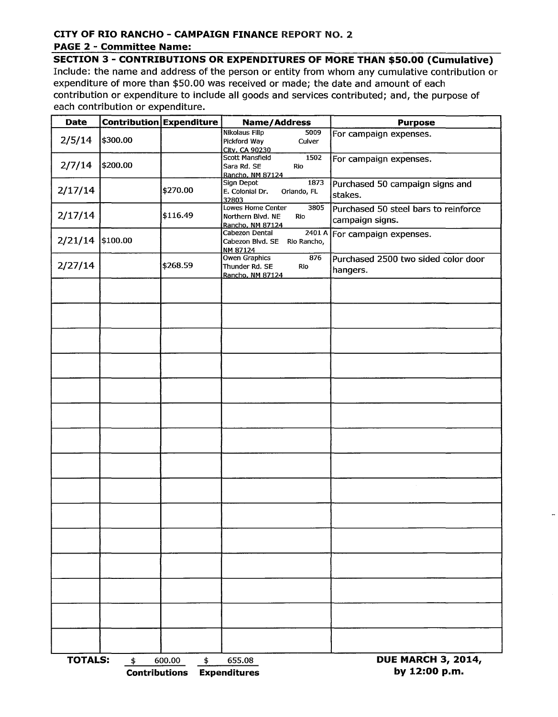## **CITY OF RIO RANCHO - CAMPAIGN FINANCE REPORT NO. 2**

## **PAGE 2 - Committee Name:**

**SECTION 3 - CONTRIBUTIONS OR EXPENDITURES OF MORE THAN \$50.00 (Cumulative)**  Include: the name and address of the person or entity from whom any cumulative contribution or expenditure of more than \$50.00 was received or made; the date and amount of each contribution or expenditure to include all goods and services contributed; and, the purpose of each contribution or expenditure.

| <b>Date</b>      |                                       | Contribution Expenditure | <b>Name/Address</b>                                                       | <b>Purpose</b>                                          |
|------------------|---------------------------------------|--------------------------|---------------------------------------------------------------------------|---------------------------------------------------------|
| 2/5/14           | \$300.00                              |                          | <b>Nikolaus Filip</b><br>5009<br>Pickford Way<br>Culver<br>City, CA 90230 | For campaign expenses.                                  |
| 2/7/14           | \$200.00                              |                          | Scott Mansfield<br>1502<br>Sara Rd. SE<br>Rio<br>Rancho, NM 87124         | For campaign expenses.                                  |
| 2/17/14          |                                       | \$270.00                 | 1873<br>Sign Depot<br>E. Colonial Dr.<br>Orlando, FL<br>32803             | Purchased 50 campaign signs and<br>stakes.              |
| 2/17/14          |                                       | \$116.49                 | 3805<br>Lowes Home Center<br>Northern Blvd. NE<br>Rio<br>Rancho, NM 87124 | Purchased 50 steel bars to reinforce<br>campaign signs. |
| 2/21/14 \$100.00 |                                       |                          | Cabezon Dental<br>2401A<br>Cabezon Blvd. SE Rio Rancho,<br>NM 87124       | For campaign expenses.                                  |
| 2/27/14          |                                       | \$268.59                 | Owen Graphics<br>876<br>Thunder Rd. SE<br>Rio<br>Rancho, NM 87124         | Purchased 2500 two sided color door<br>hangers.         |
|                  |                                       |                          |                                                                           |                                                         |
|                  |                                       |                          |                                                                           |                                                         |
|                  |                                       |                          |                                                                           |                                                         |
|                  |                                       |                          |                                                                           |                                                         |
|                  |                                       |                          |                                                                           |                                                         |
|                  |                                       |                          |                                                                           |                                                         |
|                  |                                       |                          |                                                                           |                                                         |
|                  |                                       |                          |                                                                           |                                                         |
|                  |                                       |                          |                                                                           |                                                         |
|                  |                                       |                          |                                                                           |                                                         |
|                  |                                       |                          |                                                                           |                                                         |
|                  |                                       |                          |                                                                           |                                                         |
|                  |                                       |                          |                                                                           |                                                         |
|                  |                                       |                          |                                                                           |                                                         |
|                  |                                       |                          |                                                                           |                                                         |
| <b>TOTALS:</b>   | $\frac{4}{5}$<br><b>Contributions</b> | 600.00<br>\$             | 655.08<br><b>Expenditures</b>                                             | <b>DUE MARCH 3, 2014,</b><br>by 12:00 p.m.              |